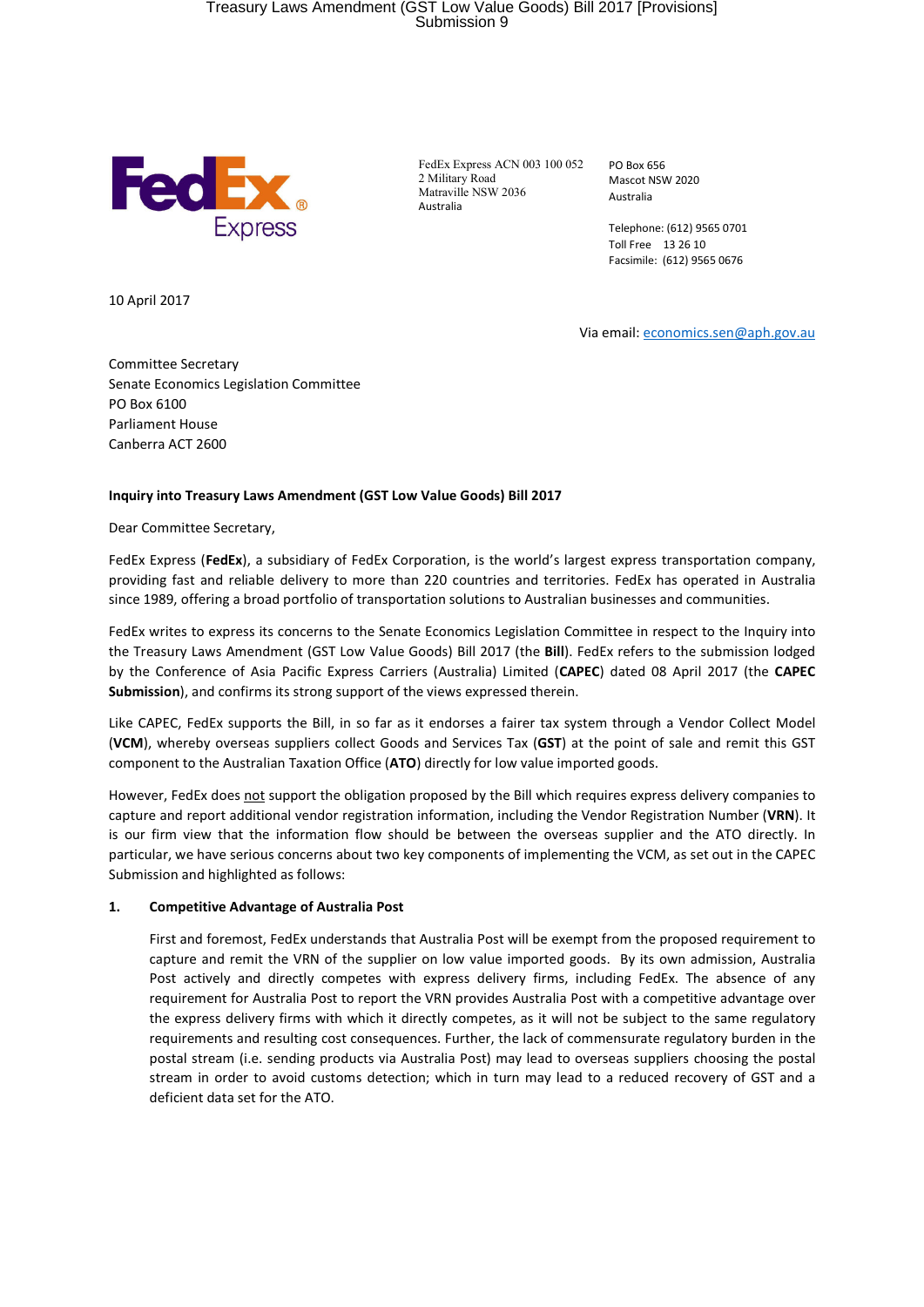# Treasury Laws Amendment (GST Low Value Goods) Bill 2017 [Provisions] Submission 9



FedEx Express ACN 003 100 052 2 Military Road Matraville NSW 2036 Australia

PO Box 656 Mascot NSW 2020 Australia

Telephone: (612) 9565 0701 Toll Free 13 26 10 Facsimile: (612) 9565 0676

10 April 2017

Via email: economics.sen@aph.gov.au

Committee Secretary Senate Economics Legislation Committee PO Box 6100 Parliament House Canberra ACT 2600

### **Inquiry into Treasury Laws Amendment (GST Low Value Goods) Bill 2017**

Dear Committee Secretary,

FedEx Express (**FedEx**), a subsidiary of FedEx Corporation, is the world's largest express transportation company, providing fast and reliable delivery to more than 220 countries and territories. FedEx has operated in Australia since 1989, offering a broad portfolio of transportation solutions to Australian businesses and communities.

FedEx writes to express its concerns to the Senate Economics Legislation Committee in respect to the Inquiry into the Treasury Laws Amendment (GST Low Value Goods) Bill 2017 (the **Bill**). FedEx refers to the submission lodged by the Conference of Asia Pacific Express Carriers (Australia) Limited (**CAPEC**) dated 08 April 2017 (the **CAPEC Submission**), and confirms its strong support of the views expressed therein.

Like CAPEC, FedEx supports the Bill, in so far as it endorses a fairer tax system through a Vendor Collect Model (**VCM**), whereby overseas suppliers collect Goods and Services Tax (**GST**) at the point of sale and remit this GST component to the Australian Taxation Office (**ATO**) directly for low value imported goods.

However, FedEx does not support the obligation proposed by the Bill which requires express delivery companies to capture and report additional vendor registration information, including the Vendor Registration Number (**VRN**). It is our firm view that the information flow should be between the overseas supplier and the ATO directly. In particular, we have serious concerns about two key components of implementing the VCM, as set out in the CAPEC Submission and highlighted as follows:

#### **1. Competitive Advantage of Australia Post**

First and foremost, FedEx understands that Australia Post will be exempt from the proposed requirement to capture and remit the VRN of the supplier on low value imported goods. By its own admission, Australia Post actively and directly competes with express delivery firms, including FedEx. The absence of any requirement for Australia Post to report the VRN provides Australia Post with a competitive advantage over the express delivery firms with which it directly competes, as it will not be subject to the same regulatory requirements and resulting cost consequences. Further, the lack of commensurate regulatory burden in the postal stream (i.e. sending products via Australia Post) may lead to overseas suppliers choosing the postal stream in order to avoid customs detection; which in turn may lead to a reduced recovery of GST and a deficient data set for the ATO.